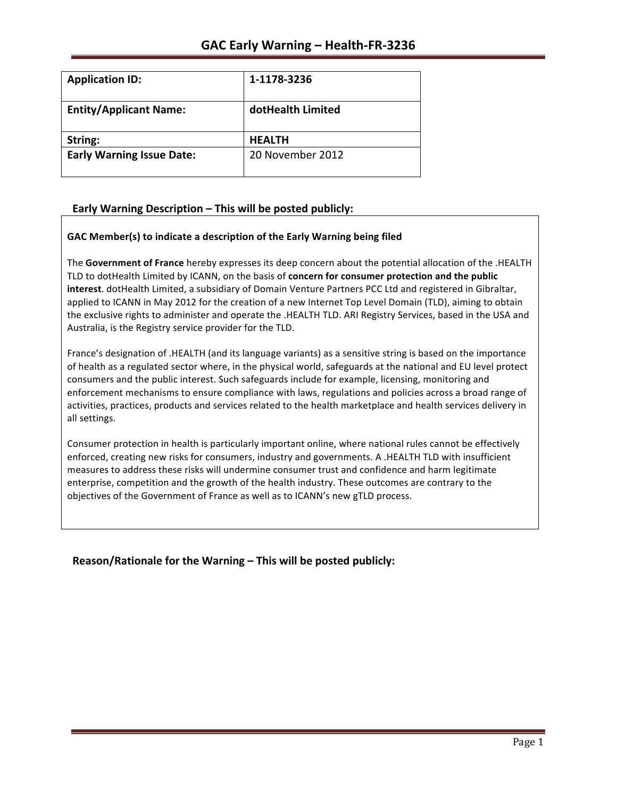| <b>Application ID:</b>           | 1-1178-3236       |
|----------------------------------|-------------------|
| <b>Entity/Applicant Name:</b>    | dotHealth Limited |
| String:                          | <b>HEALTH</b>     |
| <b>Early Warning Issue Date:</b> | 20 November 2012  |

## **Early Warning Description – This will be posted publicly:**

### GAC Member(s) to indicate a description of the Early Warning being filed

The Government of France hereby expresses its deep concern about the potential allocation of the .HEALTH TLD to dotHealth Limited by ICANN, on the basis of **concern for consumer protection and the public interest**. dotHealth Limited, a subsidiary of Domain Venture Partners PCC Ltd and registered in Gibraltar, applied to ICANN in May 2012 for the creation of a new Internet Top Level Domain (TLD), aiming to obtain the exclusive rights to administer and operate the .HEALTH TLD. ARI Registry Services, based in the USA and Australia, is the Registry service provider for the TLD.

France's designation of .HEALTH (and its language variants) as a sensitive string is based on the importance of health as a regulated sector where, in the physical world, safeguards at the national and EU level protect consumers and the public interest. Such safeguards include for example, licensing, monitoring and enforcement mechanisms to ensure compliance with laws, regulations and policies across a broad range of activities, practices, products and services related to the health marketplace and health services delivery in all settings.

Consumer protection in health is particularly important online, where national rules cannot be effectively enforced, creating new risks for consumers, industry and governments. A .HEALTH TLD with insufficient measures to address these risks will undermine consumer trust and confidence and harm legitimate enterprise, competition and the growth of the health industry. These outcomes are contrary to the objectives of the Government of France as well as to ICANN's new gTLD process.

**Reason/Rationale for the Warning – This will be posted publicly:**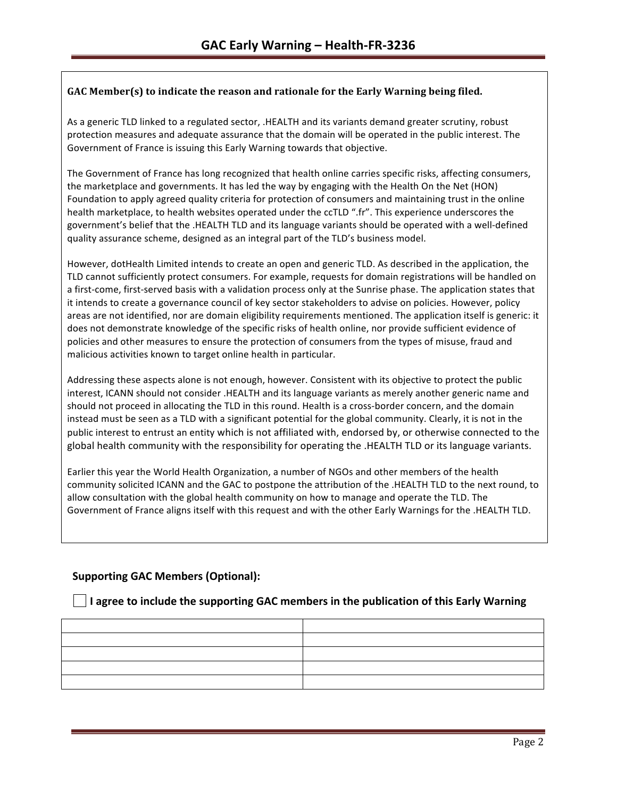## GAC Member(s) to indicate the reason and rationale for the Early Warning being filed.

As a generic TLD linked to a regulated sector, .HEALTH and its variants demand greater scrutiny, robust protection measures and adequate assurance that the domain will be operated in the public interest. The Government of France is issuing this Early Warning towards that objective.

The Government of France has long recognized that health online carries specific risks, affecting consumers, the marketplace and governments. It has led the way by engaging with the Health On the Net (HON) Foundation to apply agreed quality criteria for protection of consumers and maintaining trust in the online health marketplace, to health websites operated under the ccTLD ".fr". This experience underscores the government's belief that the .HEALTH TLD and its language variants should be operated with a well-defined quality assurance scheme, designed as an integral part of the TLD's business model.

However, dotHealth Limited intends to create an open and generic TLD. As described in the application, the TLD cannot sufficiently protect consumers. For example, requests for domain registrations will be handled on a first-come, first-served basis with a validation process only at the Sunrise phase. The application states that it intends to create a governance council of key sector stakeholders to advise on policies. However, policy areas are not identified, nor are domain eligibility requirements mentioned. The application itself is generic: it does not demonstrate knowledge of the specific risks of health online, nor provide sufficient evidence of policies and other measures to ensure the protection of consumers from the types of misuse, fraud and malicious activities known to target online health in particular.

Addressing these aspects alone is not enough, however. Consistent with its objective to protect the public interest, ICANN should not consider .HEALTH and its language variants as merely another generic name and should not proceed in allocating the TLD in this round. Health is a cross-border concern, and the domain instead must be seen as a TLD with a significant potential for the global community. Clearly, it is not in the public interest to entrust an entity which is not affiliated with, endorsed by, or otherwise connected to the global health community with the responsibility for operating the .HEALTH TLD or its language variants.

Earlier this year the World Health Organization, a number of NGOs and other members of the health community solicited ICANN and the GAC to postpone the attribution of the .HEALTH TLD to the next round, to allow consultation with the global health community on how to manage and operate the TLD. The Government of France aligns itself with this request and with the other Early Warnings for the .HEALTH TLD.

## **Supporting GAC Members (Optional):**

## **I** agree to include the supporting GAC members in the publication of this Early Warning

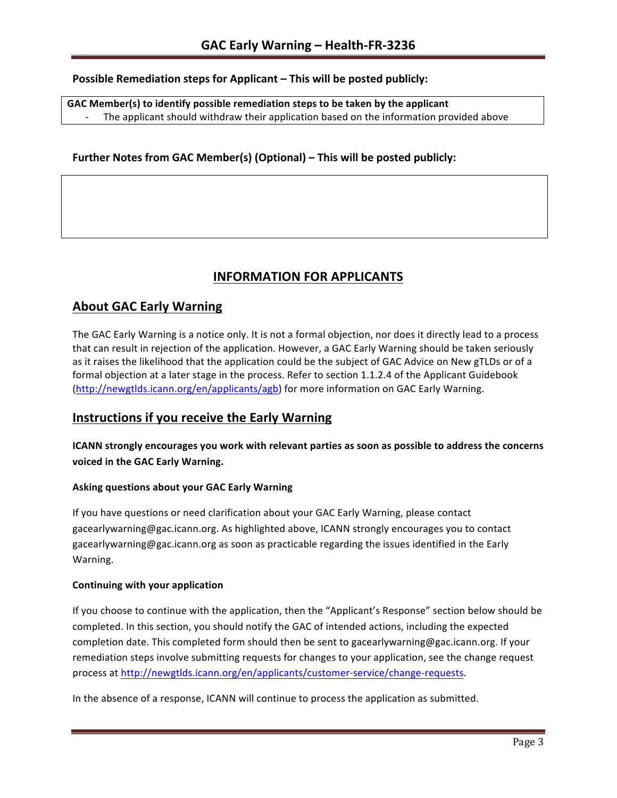## **Possible Remediation steps for Applicant – This will be posted publicly:**

GAC Member(s) to identify possible remediation steps to be taken by the applicant The applicant should withdraw their application based on the information provided above

## **Further Notes from GAC Member(s) (Optional) – This will be posted publicly:**

# **INFORMATION FOR APPLICANTS**

# **About GAC Early Warning**

The GAC Early Warning is a notice only. It is not a formal objection, nor does it directly lead to a process that can result in rejection of the application. However, a GAC Early Warning should be taken seriously as it raises the likelihood that the application could be the subject of GAC Advice on New gTLDs or of a formal objection at a later stage in the process. Refer to section 1.1.2.4 of the Applicant Guidebook (http://newgtlds.icann.org/en/applicants/agb) for more information on GAC Early Warning.

# **Instructions if you receive the Early Warning**

## **ICANN** strongly encourages you work with relevant parties as soon as possible to address the concerns **voiced in the GAC Early Warning.**

#### **Asking questions about your GAC Early Warning**

If you have questions or need clarification about your GAC Early Warning, please contact gacearlywarning@gac.icann.org. As highlighted above, ICANN strongly encourages you to contact gacearlywarning@gac.icann.org as soon as practicable regarding the issues identified in the Early Warning. 

#### **Continuing with your application**

If you choose to continue with the application, then the "Applicant's Response" section below should be completed. In this section, you should notify the GAC of intended actions, including the expected completion date. This completed form should then be sent to gacearlywarning@gac.icann.org. If your remediation steps involve submitting requests for changes to your application, see the change request process at http://newgtlds.icann.org/en/applicants/customer-service/change-requests.

In the absence of a response, ICANN will continue to process the application as submitted.